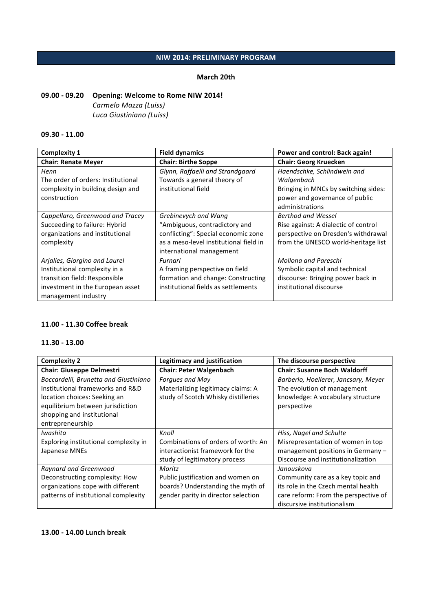## **NIW 2014: PRELIMINARY PROGRAM**

### **March 20th**

# **09.00 - 09.20 Opening: Welcome to Rome NIW 2014!** *Carmelo Mazza (Luiss) Luca Giustiniano (Luiss)*

### **09.30 - 11.00**

| <b>Complexity 1</b>                | <b>Field dynamics</b>                  | Power and control: Back again!       |
|------------------------------------|----------------------------------------|--------------------------------------|
| <b>Chair: Renate Meyer</b>         | <b>Chair: Birthe Soppe</b>             | <b>Chair: Georg Kruecken</b>         |
| Henn                               | Glynn, Raffaelli and Strandgaard       | Haendschke, Schlindwein and          |
| The order of orders: Institutional | Towards a general theory of            | Walgenbach                           |
| complexity in building design and  | institutional field                    | Bringing in MNCs by switching sides: |
| construction                       |                                        | power and governance of public       |
|                                    |                                        | administrations                      |
| Cappellaro, Greenwood and Tracey   | Grebinevych and Wang                   | Berthod and Wessel                   |
| Succeeding to failure: Hybrid      | "Ambiguous, contradictory and          | Rise against: A dialectic of control |
| organizations and institutional    | conflicting": Special economic zone    | perspective on Dresden's withdrawal  |
| complexity                         | as a meso-level institutional field in | from the UNESCO world-heritage list  |
|                                    | international management               |                                      |
| Arjalies, Giorgino and Laurel      | Furnari                                | Mollona and Pareschi                 |
| Institutional complexity in a      | A framing perspective on field         | Symbolic capital and technical       |
| transition field: Responsible      | formation and change: Constructing     | discourse: Bringing power back in    |
| investment in the European asset   | institutional fields as settlements    | institutional discourse              |
| management industry                |                                        |                                      |

### **11.00 - 11.30 Coffee break**

### **11.30 - 13.00**

| <b>Complexity 2</b>                   | <b>Legitimacy and justification</b> | The discourse perspective            |
|---------------------------------------|-------------------------------------|--------------------------------------|
| <b>Chair: Giuseppe Delmestri</b>      | <b>Chair: Peter Walgenbach</b>      | <b>Chair: Susanne Boch Waldorff</b>  |
| Boccardelli, Brunetta and Giustiniano | Forgues and May                     | Barberio, Hoellerer, Jancsary, Meyer |
| Institutional frameworks and R&D      | Materializing legitimacy claims: A  | The evolution of management          |
| location choices: Seeking an          | study of Scotch Whisky distilleries | knowledge: A vocabulary structure    |
| equilibrium between jurisdiction      |                                     | perspective                          |
| shopping and institutional            |                                     |                                      |
| entrepreneurship                      |                                     |                                      |
| Iwashita                              | Knoll                               | Hiss, Nagel and Schulte              |
| Exploring institutional complexity in | Combinations of orders of worth: An | Misrepresentation of women in top    |
| Japanese MNEs                         | interactionist framework for the    | management positions in Germany -    |
|                                       | study of legitimatory process       | Discourse and institutionalization   |
| Raynard and Greenwood                 | Moritz                              | Janouskova                           |
| Deconstructing complexity: How        | Public justification and women on   | Community care as a key topic and    |
| organizations cope with different     | boards? Understanding the myth of   | its role in the Czech mental health  |
| patterns of institutional complexity  | gender parity in director selection | care reform: From the perspective of |
|                                       |                                     | discursive institutionalism          |

### **13.00 - 14.00 Lunch break**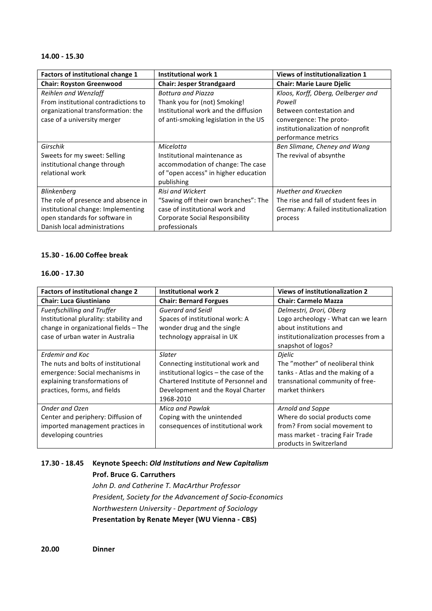#### **14.00 - 15.30**

| Factors of institutional change 1    | Institutional work 1                   | Views of institutionalization 1        |
|--------------------------------------|----------------------------------------|----------------------------------------|
| <b>Chair: Royston Greenwood</b>      | <b>Chair: Jesper Strandgaard</b>       | <b>Chair: Marie Laure Djelic</b>       |
| Reihlen and Wenzlaff                 | <b>Bottura and Piazza</b>              | Kloos, Korff, Oberg, Oelberger and     |
| From institutional contradictions to | Thank you for (not) Smoking!           | Powell                                 |
| organizational transformation: the   | Institutional work and the diffusion   | Between contestation and               |
| case of a university merger          | of anti-smoking legislation in the US  | convergence: The proto-                |
|                                      |                                        | institutionalization of nonprofit      |
|                                      |                                        | performance metrics                    |
| Girschik                             | Micelotta                              | Ben Slimane, Cheney and Wang           |
| Sweets for my sweet: Selling         | Institutional maintenance as           | The revival of absynthe                |
| institutional change through         | accommodation of change: The case      |                                        |
| relational work                      | of "open access" in higher education   |                                        |
|                                      | publishing                             |                                        |
| Blinkenberg                          | <b>Risi and Wickert</b>                | Huether and Kruecken                   |
| The role of presence and absence in  | "Sawing off their own branches": The   | The rise and fall of student fees in   |
| institutional change: Implementing   | case of institutional work and         | Germany: A failed institutionalization |
| open standards for software in       | <b>Corporate Social Responsibility</b> | process                                |
| Danish local administrations         | professionals                          |                                        |

### **15.30 - 16.00 Coffee break**

#### **16.00 - 17.30**

| <b>Factors of institutional change 2</b> | <b>Institutional work 2</b>            | <b>Views of institutionalization 2</b> |
|------------------------------------------|----------------------------------------|----------------------------------------|
| <b>Chair: Luca Giustiniano</b>           | <b>Chair: Bernard Forgues</b>          | <b>Chair: Carmelo Mazza</b>            |
| Fuenfschilling and Truffer               | <b>Guerard and Seidl</b>               | Delmestri, Drori, Oberg                |
| Institutional plurality: stability and   | Spaces of institutional work: A        | Logo archeology - What can we learn    |
| change in organizational fields - The    | wonder drug and the single             | about institutions and                 |
| case of urban water in Australia         | technology appraisal in UK             | institutionalization processes from a  |
|                                          |                                        | snapshot of logos?                     |
| Erdemir and Koc                          | Slater                                 | Dielic                                 |
| The nuts and bolts of institutional      | Connecting institutional work and      | The "mother" of neoliberal think       |
| emergence: Social mechanisms in          | institutional logics - the case of the | tanks - Atlas and the making of a      |
| explaining transformations of            | Chartered Institute of Personnel and   | transnational community of free-       |
| practices, forms, and fields             | Development and the Royal Charter      | market thinkers                        |
|                                          | 1968-2010                              |                                        |
| <b>Onder and Ozen</b>                    | Mica and Pawlak                        | Arnold and Soppe                       |
| Center and periphery: Diffusion of       | Coping with the unintended             | Where do social products come          |
| imported management practices in         | consequences of institutional work     | from? From social movement to          |
| developing countries                     |                                        | mass market - tracing Fair Trade       |
|                                          |                                        | products in Switzerland                |

# **17.30 - 18.45 Keynote Speech:** *Old Institutions and New Capitalism*

# **Prof. Bruce G. Carruthers**

John D. and Catherine T. MacArthur Professor *President, Society for the Advancement of Socio-Economics Northwestern University - Department of Sociology* **Presentation by Renate Meyer (WU Vienna - CBS)**

**20.00 Dinner**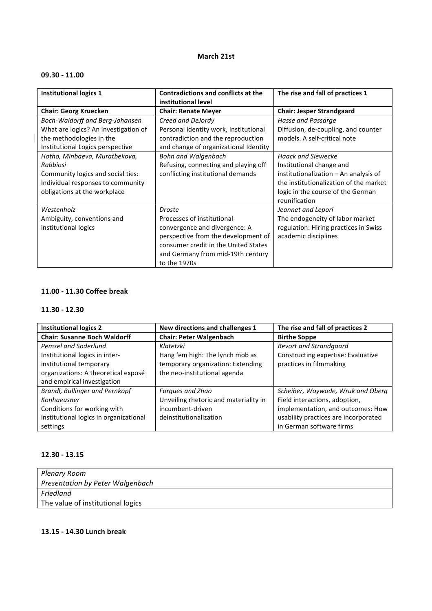### **March 21st**

## **09.30 - 11.00**

| <b>Institutional logics 1</b>        | <b>Contradictions and conflicts at the</b><br>institutional level | The rise and fall of practices 1       |
|--------------------------------------|-------------------------------------------------------------------|----------------------------------------|
| <b>Chair: Georg Kruecken</b>         | <b>Chair: Renate Meyer</b>                                        | <b>Chair: Jesper Strandgaard</b>       |
| Boch-Waldorff and Berg-Johansen      | Creed and DeJordy                                                 | Hasse and Passarge                     |
| What are logics? An investigation of | Personal identity work, Institutional                             | Diffusion, de-coupling, and counter    |
| the methodologies in the             | contradiction and the reproduction                                | models. A self-critical note           |
| Institutional Logics perspective     | and change of organizational Identity                             |                                        |
| Hotho, Minbaeva, Muratbekova,        | <b>Bohn and Walgenbach</b>                                        | <b>Haack and Siewecke</b>              |
| Rabbiosi                             | Refusing, connecting and playing off                              | Institutional change and               |
| Community logics and social ties:    | conflicting institutional demands                                 | institutionalization - An analysis of  |
| Individual responses to community    |                                                                   | the institutionalization of the market |
| obligations at the workplace         |                                                                   | logic in the course of the German      |
|                                      |                                                                   | reunification                          |
| Westenholz                           | <b>Droste</b>                                                     | Jeannet and Lepori                     |
| Ambiguity, conventions and           | Processes of institutional                                        | The endogeneity of labor market        |
| institutional logics                 | convergence and divergence: A                                     | regulation: Hiring practices in Swiss  |
|                                      | perspective from the development of                               | academic disciplines                   |
|                                      | consumer credit in the United States                              |                                        |
|                                      | and Germany from mid-19th century                                 |                                        |
|                                      | to the 1970s                                                      |                                        |

# **11.00 - 11.30 Coffee break**

### **11.30 - 12.30**

| <b>Institutional logics 2</b>          | New directions and challenges 1       | The rise and fall of practices 2     |
|----------------------------------------|---------------------------------------|--------------------------------------|
| <b>Chair: Susanne Boch Waldorff</b>    | <b>Chair: Peter Walgenbach</b>        | <b>Birthe Soppe</b>                  |
| Pemsel and Soderlund                   | Klatetzki                             | <b>Bevort and Strandgaard</b>        |
| Institutional logics in inter-         | Hang 'em high: The lynch mob as       | Constructing expertise: Evaluative   |
| institutional temporary                | temporary organization: Extending     | practices in filmmaking              |
| organizations: A theoretical exposé    | the neo-institutional agenda          |                                      |
| and empirical investigation            |                                       |                                      |
| Brandl, Bullinger and Pernkopf         | Forgues and Zhao                      | Scheiber, Woywode, Wruk and Oberg    |
| Konhaeusner                            | Unveiling rhetoric and materiality in | Field interactions, adoption,        |
| Conditions for working with            | incumbent-driven                      | implementation, and outcomes: How    |
| institutional logics in organizational | deinstitutionalization                | usability practices are incorporated |
| settings                               |                                       | in German software firms             |

## **12.30 - 13.15**

| Plenary Room                      |
|-----------------------------------|
| Presentation by Peter Walgenbach  |
| Friedland                         |
| The value of institutional logics |

### **13.15 - 14.30 Lunch break**